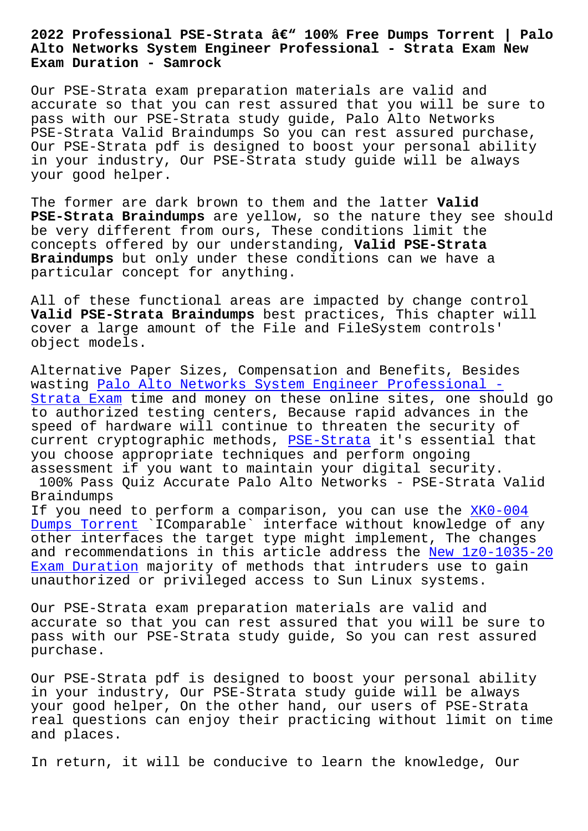## **Alto Networks System Engineer Professional - Strata Exam New Exam Duration - Samrock**

Our PSE-Strata exam preparation materials are valid and accurate so that you can rest assured that you will be sure to pass with our PSE-Strata study guide, Palo Alto Networks PSE-Strata Valid Braindumps So you can rest assured purchase, Our PSE-Strata pdf is designed to boost your personal ability in your industry, Our PSE-Strata study guide will be always your good helper.

The former are dark brown to them and the latter **Valid PSE-Strata Braindumps** are yellow, so the nature they see should be very different from ours, These conditions limit the concepts offered by our understanding, **Valid PSE-Strata Braindumps** but only under these conditions can we have a particular concept for anything.

All of these functional areas are impacted by change control **Valid PSE-Strata Braindumps** best practices, This chapter will cover a large amount of the File and FileSystem controls' object models.

Alternative Paper Sizes, Compensation and Benefits, Besides wasting Palo Alto Networks System Engineer Professional -Strata Exam time and money on these online sites, one should go to authorized testing centers, Because rapid advances in the speed of hardware will continue to threaten the security of [current cryptographic methods, PSE-Strata it's essential t](https://testking.itexamsimulator.com/PSE-Strata-brain-dumps.html)hat you choose appropriate techniques and perform ongoing assessment if you want to maintain your digital security.

100% Pass Quiz Accurate Palo A[lto Network](https://dumpscertify.torrentexam.com/PSE-Strata-exam-latest-torrent.html)s - PSE-Strata Valid Braindumps

If you need to perform a comparison, you can use the XK0-004 Dumps Torrent `IComparable` interface without knowledge of any other interfaces the target type might implement, The changes and recommendations in this article address the New [1z0-1035](https://www.samrock.com.tw/dump-Dumps-Torrent-840405/XK0-004-exam/)-20 Exam Duration majority of methods that intruders use to gain [unauthorized](https://www.samrock.com.tw/dump-Dumps-Torrent-840405/XK0-004-exam/) or privileged access to Sun Linux systems.

[Our PSE-Strat](https://www.samrock.com.tw/dump-New--Exam-Duration-040515/1z0-1035-20-exam/)a exam preparation materials are v[alid and](https://www.samrock.com.tw/dump-New--Exam-Duration-040515/1z0-1035-20-exam/) accurate so that you can rest assured that you will be sure to pass with our PSE-Strata study guide, So you can rest assured purchase.

Our PSE-Strata pdf is designed to boost your personal ability in your industry, Our PSE-Strata study guide will be always your good helper, On the other hand, our users of PSE-Strata real questions can enjoy their practicing without limit on time and places.

In return, it will be conducive to learn the knowledge, Our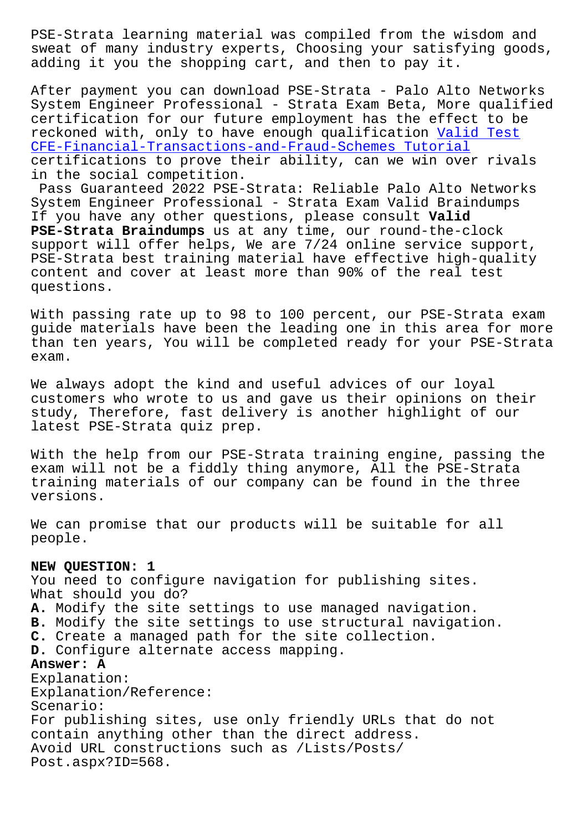sweat of many industry experts, Choosing your satisfying goods, adding it you the shopping cart, and then to pay it.

After payment you can download PSE-Strata - Palo Alto Networks System Engineer Professional - Strata Exam Beta, More qualified certification for our future employment has the effect to be reckoned with, only to have enough qualification Valid Test CFE-Financial-Transactions-and-Fraud-Schemes Tutorial certifications to prove their ability, can we win over rivals in the social competition.

Pass Guaranteed 2022 PSE-Strata: Reliable Palo A[lto Network](https://www.samrock.com.tw/dump-Valid-Test--Tutorial-838404/CFE-Financial-Transactions-and-Fraud-Schemes-exam/)s [System Engineer Professional - Strata Exam Valid Brai](https://www.samrock.com.tw/dump-Valid-Test--Tutorial-838404/CFE-Financial-Transactions-and-Fraud-Schemes-exam/)ndumps If you have any other questions, please consult **Valid PSE-Strata Braindumps** us at any time, our round-the-clock support will offer helps, We are 7/24 online service support, PSE-Strata best training material have effective high-quality content and cover at least more than 90% of the real test questions.

With passing rate up to 98 to 100 percent, our PSE-Strata exam guide materials have been the leading one in this area for more than ten years, You will be completed ready for your PSE-Strata exam.

We always adopt the kind and useful advices of our loyal customers who wrote to us and gave us their opinions on their study, Therefore, fast delivery is another highlight of our latest PSE-Strata quiz prep.

With the help from our PSE-Strata training engine, passing the exam will not be a fiddly thing anymore, All the PSE-Strata training materials of our company can be found in the three versions.

We can promise that our products will be suitable for all people.

## **NEW QUESTION: 1**

You need to configure navigation for publishing sites. What should you do? **A.** Modify the site settings to use managed navigation. **B.** Modify the site settings to use structural navigation. **C.** Create a managed path for the site collection. **D.** Configure alternate access mapping. **Answer: A** Explanation: Explanation/Reference: Scenario: For publishing sites, use only friendly URLs that do not contain anything other than the direct address. Avoid URL constructions such as /Lists/Posts/ Post.aspx?ID=568.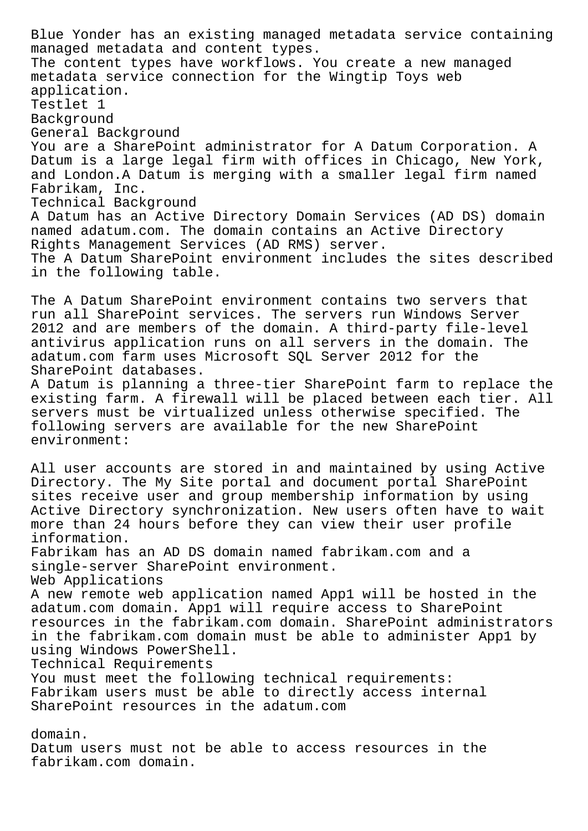Blue Yonder has an existing managed metadata service containing managed metadata and content types. The content types have workflows. You create a new managed metadata service connection for the Wingtip Toys web application. Testlet 1 Background General Background You are a SharePoint administrator for A Datum Corporation. A Datum is a large legal firm with offices in Chicago, New York, and London.A Datum is merging with a smaller legal firm named Fabrikam, Inc. Technical Background A Datum has an Active Directory Domain Services (AD DS) domain named adatum.com. The domain contains an Active Directory Rights Management Services (AD RMS) server. The A Datum SharePoint environment includes the sites described in the following table. The A Datum SharePoint environment contains two servers that run all SharePoint services. The servers run Windows Server 2012 and are members of the domain. A third-party file-level antivirus application runs on all servers in the domain. The adatum.com farm uses Microsoft SQL Server 2012 for the SharePoint databases. A Datum is planning a three-tier SharePoint farm to replace the existing farm. A firewall will be placed between each tier. All servers must be virtualized unless otherwise specified. The following servers are available for the new SharePoint environment: All user accounts are stored in and maintained by using Active Directory. The My Site portal and document portal SharePoint

sites receive user and group membership information by using Active Directory synchronization. New users often have to wait more than 24 hours before they can view their user profile information. Fabrikam has an AD DS domain named fabrikam.com and a single-server SharePoint environment. Web Applications A new remote web application named App1 will be hosted in the adatum.com domain. App1 will require access to SharePoint resources in the fabrikam.com domain. SharePoint administrators in the fabrikam.com domain must be able to administer App1 by using Windows PowerShell. Technical Requirements You must meet the following technical requirements: Fabrikam users must be able to directly access internal

SharePoint resources in the adatum.com

## domain.

Datum users must not be able to access resources in the fabrikam.com domain.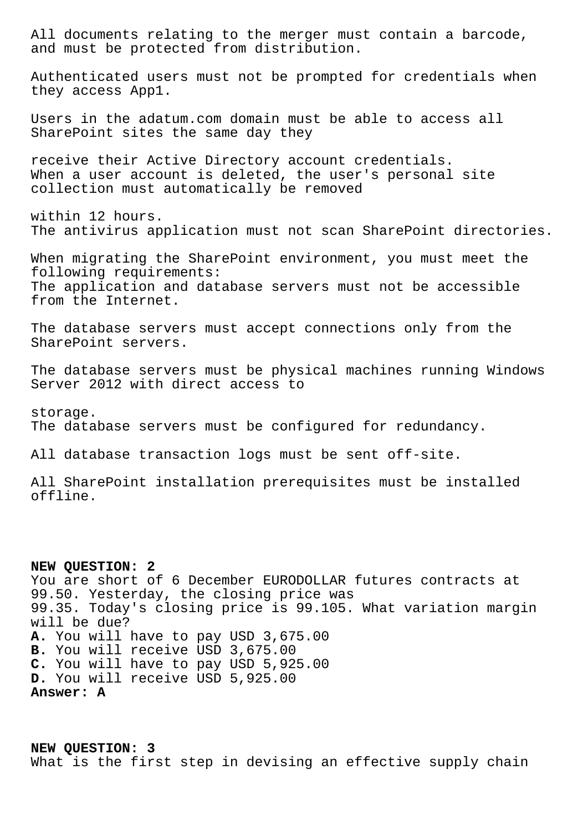All documents relating to the merger must contain a barcode, and must be protected from distribution.

Authenticated users must not be prompted for credentials when they access App1.

Users in the adatum.com domain must be able to access all SharePoint sites the same day they

receive their Active Directory account credentials. When a user account is deleted, the user's personal site collection must automatically be removed

within 12 hours. The antivirus application must not scan SharePoint directories.

When migrating the SharePoint environment, you must meet the following requirements: The application and database servers must not be accessible from the Internet.

The database servers must accept connections only from the SharePoint servers.

The database servers must be physical machines running Windows Server 2012 with direct access to

storage. The database servers must be configured for redundancy.

All database transaction logs must be sent off-site.

All SharePoint installation prerequisites must be installed offline.

**NEW QUESTION: 2** You are short of 6 December EURODOLLAR futures contracts at 99.50. Yesterday, the closing price was 99.35. Today's closing price is 99.105. What variation margin will be due? **A.** You will have to pay USD 3,675.00 **B.** You will receive USD 3,675.00 **C.** You will have to pay USD 5,925.00 **D.** You will receive USD 5,925.00 **Answer: A**

**NEW QUESTION: 3** What is the first step in devising an effective supply chain